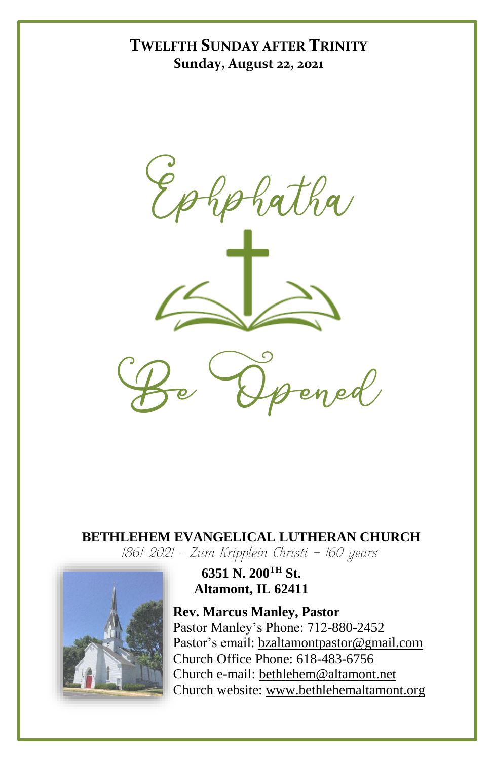## **TWELFTH SUNDAY AFTER TRINITY Sunday, August 22, 2021**





# **BETHLEHEM EVANGELICAL LUTHERAN CHURCH**<br>1861-2021 - Zum Kripplein Christi - 160 years



**6351 N. 200TH St. Altamont, IL 62411**

**Rev. Marcus Manley, Pastor** Pastor Manley's Phone: 712-880-2452 Pastor's email[: bzaltamontpastor@gmail.com](mailto:bzaltamontpastor@gmail.com) Church Office Phone: 618-483-6756 Church e-mail: [bethlehem@altamont.net](mailto:bethlehem@altamont.net)  Church website: [www.bethlehemaltamont.org](http://www.bethlehemaltamont.org/)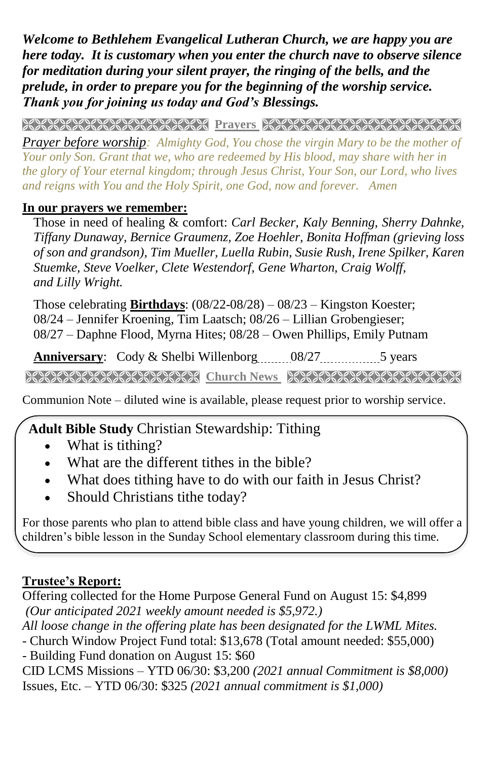*Welcome to Bethlehem Evangelical Lutheran Church, we are happy you are here today. It is customary when you enter the church nave to observe silence for meditation during your silent prayer, the ringing of the bells, and the prelude, in order to prepare you for the beginning of the worship service. Thank you for joining us today and God's Blessings.*

**PRAYARANA NATURAL PROTECT PARAMETERING CONTROLLER** 

*Prayer before worship: Almighty God, You chose the virgin Mary to be the mother of Your only Son. Grant that we, who are redeemed by His blood, may share with her in the glory of Your eternal kingdom; through Jesus Christ, Your Son, our Lord, who lives and reigns with You and the Holy Spirit, one God, now and forever. Amen*

### **In our prayers we remember:**

Those in need of healing & comfort: *Carl Becker, Kaly Benning, Sherry Dahnke, Tiffany Dunaway, Bernice Graumenz, Zoe Hoehler, Bonita Hoffman (grieving loss of son and grandson), Tim Mueller, Luella Rubin, Susie Rush, Irene Spilker, Karen Stuemke, Steve Voelker, Clete Westendorf, Gene Wharton, Craig Wolff, and Lilly Wright.*

Those celebrating **Birthdays**: (08/22-08/28) – 08/23 – Kingston Koester; 08/24 – Jennifer Kroening, Tim Laatsch; 08/26 – Lillian Grobengieser; 08/27 – Daphne Flood, Myrna Hites; 08/28 – Owen Phillips, Emily Putnam

**Anniversary:** Cody & Shelbi Willenborg 08/27 5 years

**Church News Street Church News REACH AND AND REACTION** 

Communion Note – diluted wine is available, please request prior to worship service.

## **Adult Bible Study** Christian Stewardship: Tithing

- What is tithing?
- What are the different tithes in the bible?
- What does tithing have to do with our faith in Jesus Christ?
- Should Christians tithe today?

For those parents who plan to attend bible class and have young children, we will offer a children's bible lesson in the Sunday School elementary classroom during this time.

### **Trustee's Report:**

Offering collected for the Home Purpose General Fund on August 15: \$4,899 *(Our anticipated 2021 weekly amount needed is \$5,972.) All loose change in the offering plate has been designated for the LWML Mites.* - Church Window Project Fund total: \$13,678 (Total amount needed: \$55,000) - Building Fund donation on August 15: \$60 CID LCMS Missions – YTD 06/30: \$3,200 *(2021 annual Commitment is \$8,000)*

Issues, Etc. – YTD 06/30: \$325 *(2021 annual commitment is \$1,000)*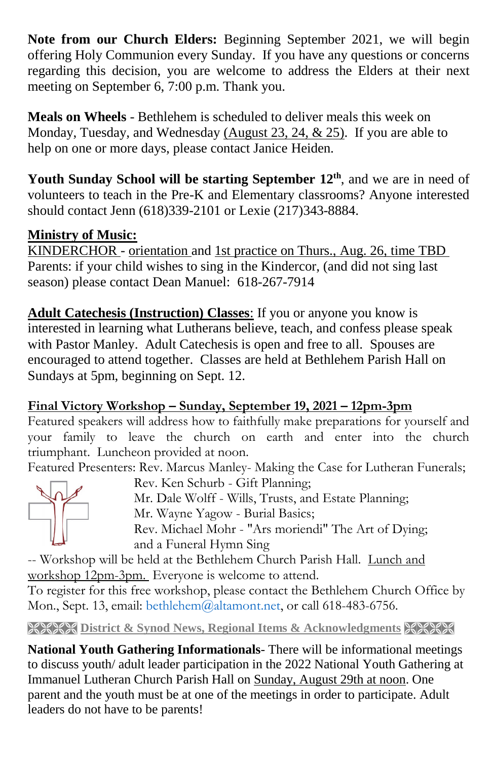**Note from our Church Elders:** Beginning September 2021, we will begin offering Holy Communion every Sunday. If you have any questions or concerns regarding this decision, you are welcome to address the Elders at their next meeting on September 6, 7:00 p.m. Thank you.

**Meals on Wheels** - Bethlehem is scheduled to deliver meals this week on Monday, Tuesday, and Wednesday (August 23, 24, & 25). If you are able to help on one or more days, please contact Janice Heiden.

**Youth Sunday School will be starting September 12th**, and we are in need of volunteers to teach in the Pre-K and Elementary classrooms? Anyone interested should contact Jenn (618)339-2101 or Lexie (217)343-8884.

## **Ministry of Music:**

KINDERCHOR *-* orientation and 1st practice on Thurs., Aug. 26, time TBD Parents: if your child wishes to sing in the Kindercor, (and did not sing last season) please contact Dean Manuel: 618-267-7914

**Adult Catechesis (Instruction) Classes**: If you or anyone you know is interested in learning what Lutherans believe, teach, and confess please speak with Pastor Manley. Adult Catechesis is open and free to all. Spouses are encouraged to attend together. Classes are held at Bethlehem Parish Hall on Sundays at 5pm, beginning on Sept. 12.

**Final Victory Workshop – Sunday, September 19, 2021 – 12pm-3pm**

Featured speakers will address how to faithfully make preparations for yourself and your family to leave the church on earth and enter into the church triumphant. Luncheon provided at noon.

Featured Presenters: Rev. Marcus Manley- Making the Case for Lutheran Funerals;



Rev. Ken Schurb - Gift Planning; Mr. Dale Wolff - Wills, Trusts, and Estate Planning; Mr. Wayne Yagow - Burial Basics; Rev. Michael Mohr - "Ars moriendi" The Art of Dying; and a Funeral Hymn Sing

-- Workshop will be held at the Bethlehem Church Parish Hall. Lunch and workshop 12pm-3pm. Everyone is welcome to attend.

To register for this free workshop, please contact the Bethlehem Church Office by Mon., Sept. 13, email: bethlehem@altamont.net, or call 618-483-6756.

**District & Synod News, Regional Items & Acknowledgments & XXXX** 

**National Youth Gathering Informationals**- There will be informational meetings to discuss youth/ adult leader participation in the 2022 National Youth Gathering at Immanuel Lutheran Church Parish Hall on Sunday, August 29th at noon. One parent and the youth must be at one of the meetings in order to participate. Adult leaders do not have to be parents!